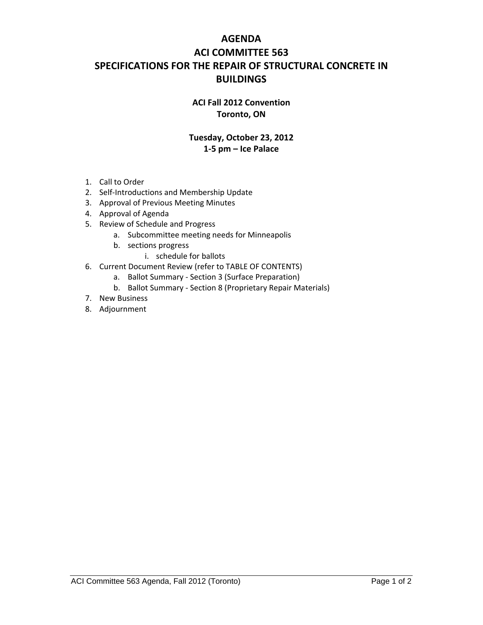## **AGENDA ACI COMMITTEE 563 SPECIFICATIONS FOR THE REPAIR OF STRUCTURAL CONCRETE IN BUILDINGS**

## **ACI Fall 2012 Convention Toronto, ON**

## **Tuesday, October 23, 2012 1‐5 pm – Ice Palace**

- 1. Call to Order
- 2. Self‐Introductions and Membership Update
- 3. Approval of Previous Meeting Minutes
- 4. Approval of Agenda
- 5. Review of Schedule and Progress
	- a. Subcommittee meeting needs for Minneapolis
	- b. sections progress
		- i. schedule for ballots
- 6. Current Document Review (refer to TABLE OF CONTENTS)
	- a. Ballot Summary ‐ Section 3 (Surface Preparation)
	- b. Ballot Summary ‐ Section 8 (Proprietary Repair Materials)
- 7. New Business
- 8. Adjournment